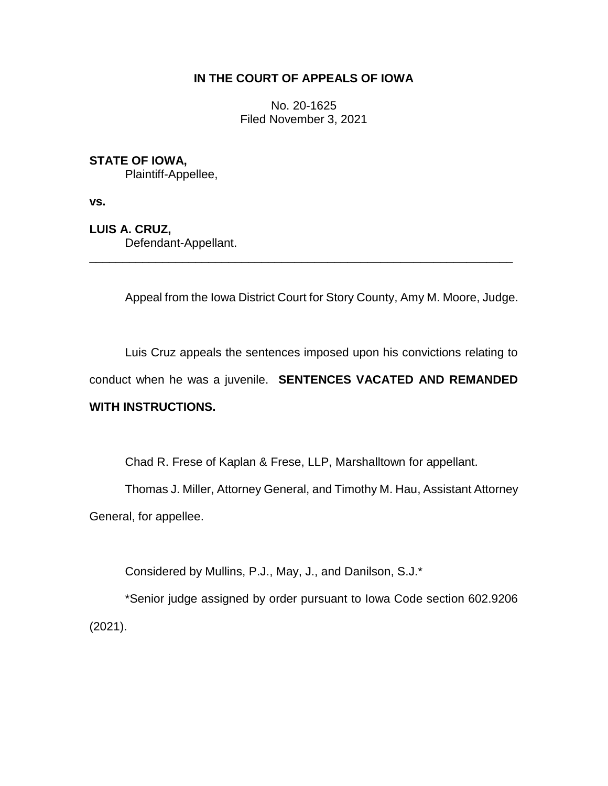# **IN THE COURT OF APPEALS OF IOWA**

No. 20-1625 Filed November 3, 2021

# **STATE OF IOWA,**

Plaintiff-Appellee,

**vs.**

**LUIS A. CRUZ,**

Defendant-Appellant.

Appeal from the Iowa District Court for Story County, Amy M. Moore, Judge.

Luis Cruz appeals the sentences imposed upon his convictions relating to conduct when he was a juvenile. **SENTENCES VACATED AND REMANDED** 

\_\_\_\_\_\_\_\_\_\_\_\_\_\_\_\_\_\_\_\_\_\_\_\_\_\_\_\_\_\_\_\_\_\_\_\_\_\_\_\_\_\_\_\_\_\_\_\_\_\_\_\_\_\_\_\_\_\_\_\_\_\_\_\_

# **WITH INSTRUCTIONS.**

Chad R. Frese of Kaplan & Frese, LLP, Marshalltown for appellant.

Thomas J. Miller, Attorney General, and Timothy M. Hau, Assistant Attorney

General, for appellee.

Considered by Mullins, P.J., May, J., and Danilson, S.J.\*

\*Senior judge assigned by order pursuant to Iowa Code section 602.9206 (2021).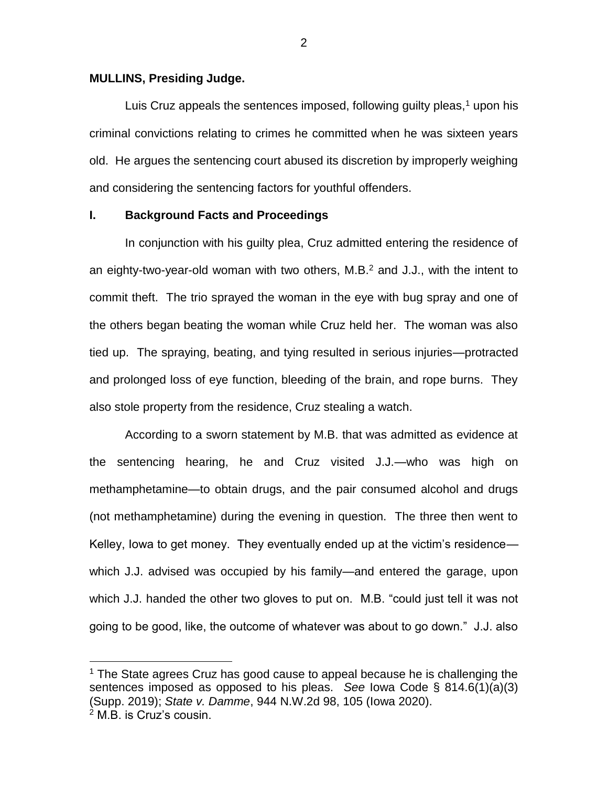#### **MULLINS, Presiding Judge.**

 $\overline{a}$ 

Luis Cruz appeals the sentences imposed, following guilty pleas, $1$  upon his criminal convictions relating to crimes he committed when he was sixteen years old. He argues the sentencing court abused its discretion by improperly weighing and considering the sentencing factors for youthful offenders.

## **I. Background Facts and Proceedings**

In conjunction with his guilty plea, Cruz admitted entering the residence of an eighty-two-year-old woman with two others, M.B.<sup>2</sup> and J.J., with the intent to commit theft. The trio sprayed the woman in the eye with bug spray and one of the others began beating the woman while Cruz held her. The woman was also tied up. The spraying, beating, and tying resulted in serious injuries—protracted and prolonged loss of eye function, bleeding of the brain, and rope burns. They also stole property from the residence, Cruz stealing a watch.

According to a sworn statement by M.B. that was admitted as evidence at the sentencing hearing, he and Cruz visited J.J.—who was high on methamphetamine—to obtain drugs, and the pair consumed alcohol and drugs (not methamphetamine) during the evening in question. The three then went to Kelley, Iowa to get money. They eventually ended up at the victim's residence which J.J. advised was occupied by his family—and entered the garage, upon which J.J. handed the other two gloves to put on. M.B. "could just tell it was not going to be good, like, the outcome of whatever was about to go down." J.J. also

 $1$  The State agrees Cruz has good cause to appeal because he is challenging the sentences imposed as opposed to his pleas. *See* Iowa Code § 814.6(1)(a)(3) (Supp. 2019); *State v. Damme*, 944 N.W.2d 98, 105 (Iowa 2020). <sup>2</sup> M.B. is Cruz's cousin.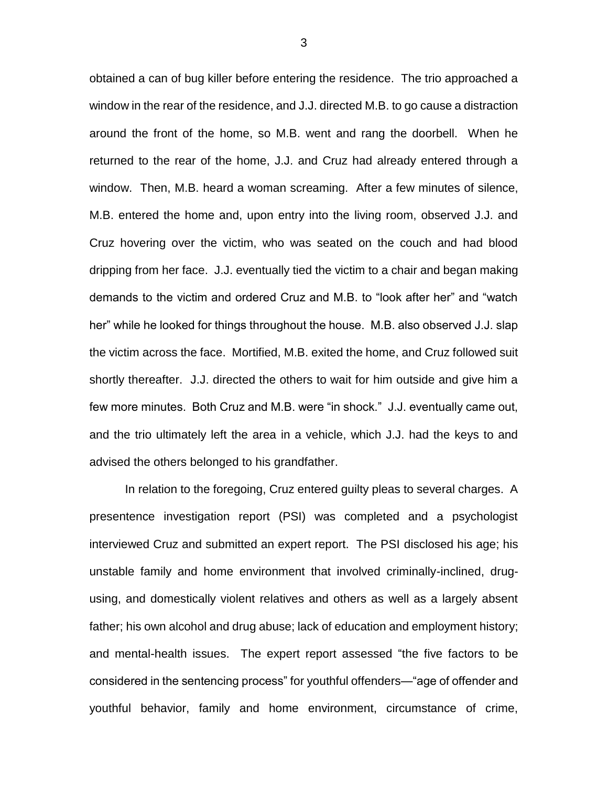obtained a can of bug killer before entering the residence. The trio approached a window in the rear of the residence, and J.J. directed M.B. to go cause a distraction around the front of the home, so M.B. went and rang the doorbell. When he returned to the rear of the home, J.J. and Cruz had already entered through a window. Then, M.B. heard a woman screaming. After a few minutes of silence, M.B. entered the home and, upon entry into the living room, observed J.J. and Cruz hovering over the victim, who was seated on the couch and had blood dripping from her face. J.J. eventually tied the victim to a chair and began making demands to the victim and ordered Cruz and M.B. to "look after her" and "watch her" while he looked for things throughout the house. M.B. also observed J.J. slap the victim across the face. Mortified, M.B. exited the home, and Cruz followed suit shortly thereafter. J.J. directed the others to wait for him outside and give him a few more minutes. Both Cruz and M.B. were "in shock." J.J. eventually came out, and the trio ultimately left the area in a vehicle, which J.J. had the keys to and advised the others belonged to his grandfather.

In relation to the foregoing, Cruz entered guilty pleas to several charges. A presentence investigation report (PSI) was completed and a psychologist interviewed Cruz and submitted an expert report. The PSI disclosed his age; his unstable family and home environment that involved criminally-inclined, drugusing, and domestically violent relatives and others as well as a largely absent father; his own alcohol and drug abuse; lack of education and employment history; and mental-health issues. The expert report assessed "the five factors to be considered in the sentencing process" for youthful offenders—"age of offender and youthful behavior, family and home environment, circumstance of crime,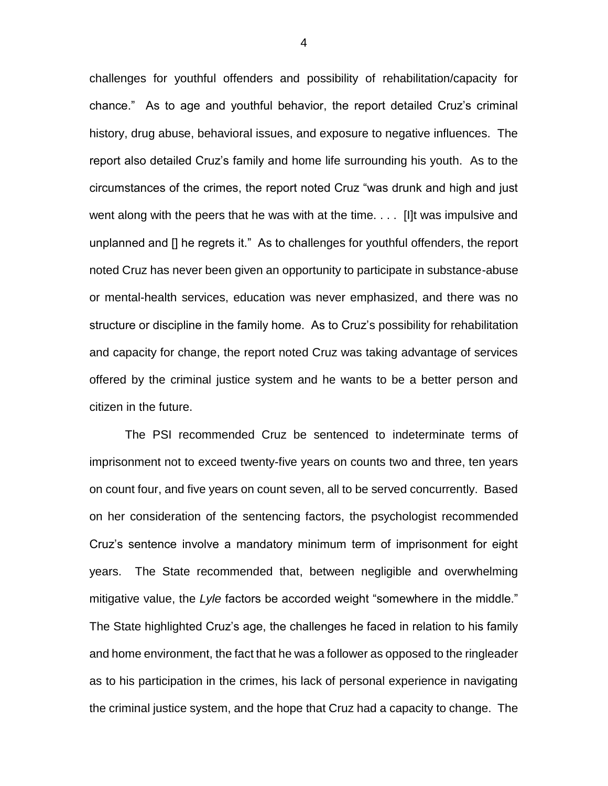challenges for youthful offenders and possibility of rehabilitation/capacity for chance." As to age and youthful behavior, the report detailed Cruz's criminal history, drug abuse, behavioral issues, and exposure to negative influences. The report also detailed Cruz's family and home life surrounding his youth. As to the circumstances of the crimes, the report noted Cruz "was drunk and high and just went along with the peers that he was with at the time. . . . [I]t was impulsive and unplanned and [] he regrets it." As to challenges for youthful offenders, the report noted Cruz has never been given an opportunity to participate in substance-abuse or mental-health services, education was never emphasized, and there was no structure or discipline in the family home. As to Cruz's possibility for rehabilitation and capacity for change, the report noted Cruz was taking advantage of services offered by the criminal justice system and he wants to be a better person and citizen in the future.

The PSI recommended Cruz be sentenced to indeterminate terms of imprisonment not to exceed twenty-five years on counts two and three, ten years on count four, and five years on count seven, all to be served concurrently. Based on her consideration of the sentencing factors, the psychologist recommended Cruz's sentence involve a mandatory minimum term of imprisonment for eight years. The State recommended that, between negligible and overwhelming mitigative value, the *Lyle* factors be accorded weight "somewhere in the middle." The State highlighted Cruz's age, the challenges he faced in relation to his family and home environment, the fact that he was a follower as opposed to the ringleader as to his participation in the crimes, his lack of personal experience in navigating the criminal justice system, and the hope that Cruz had a capacity to change. The

4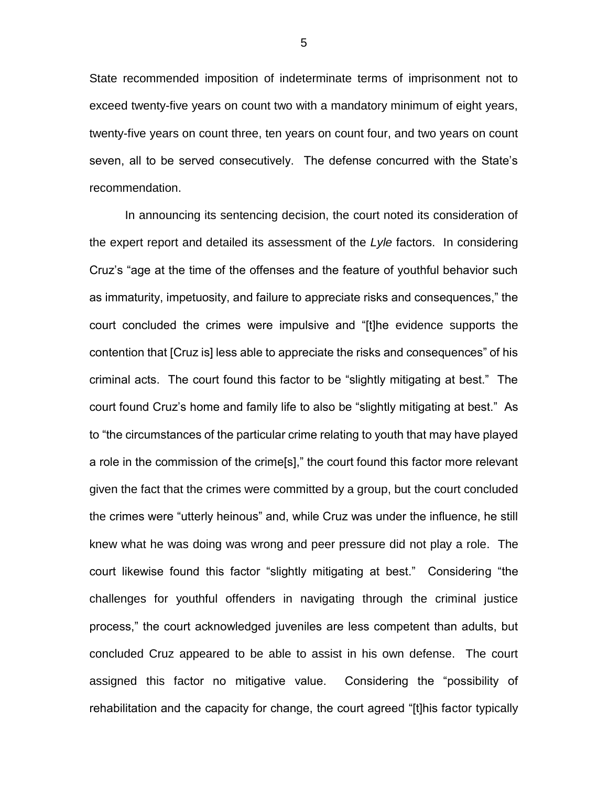State recommended imposition of indeterminate terms of imprisonment not to exceed twenty-five years on count two with a mandatory minimum of eight years, twenty-five years on count three, ten years on count four, and two years on count seven, all to be served consecutively. The defense concurred with the State's recommendation.

In announcing its sentencing decision, the court noted its consideration of the expert report and detailed its assessment of the *Lyle* factors. In considering Cruz's "age at the time of the offenses and the feature of youthful behavior such as immaturity, impetuosity, and failure to appreciate risks and consequences," the court concluded the crimes were impulsive and "[t]he evidence supports the contention that [Cruz is] less able to appreciate the risks and consequences" of his criminal acts. The court found this factor to be "slightly mitigating at best." The court found Cruz's home and family life to also be "slightly mitigating at best." As to "the circumstances of the particular crime relating to youth that may have played a role in the commission of the crime[s]," the court found this factor more relevant given the fact that the crimes were committed by a group, but the court concluded the crimes were "utterly heinous" and, while Cruz was under the influence, he still knew what he was doing was wrong and peer pressure did not play a role. The court likewise found this factor "slightly mitigating at best." Considering "the challenges for youthful offenders in navigating through the criminal justice process," the court acknowledged juveniles are less competent than adults, but concluded Cruz appeared to be able to assist in his own defense. The court assigned this factor no mitigative value. Considering the "possibility of rehabilitation and the capacity for change, the court agreed "[t]his factor typically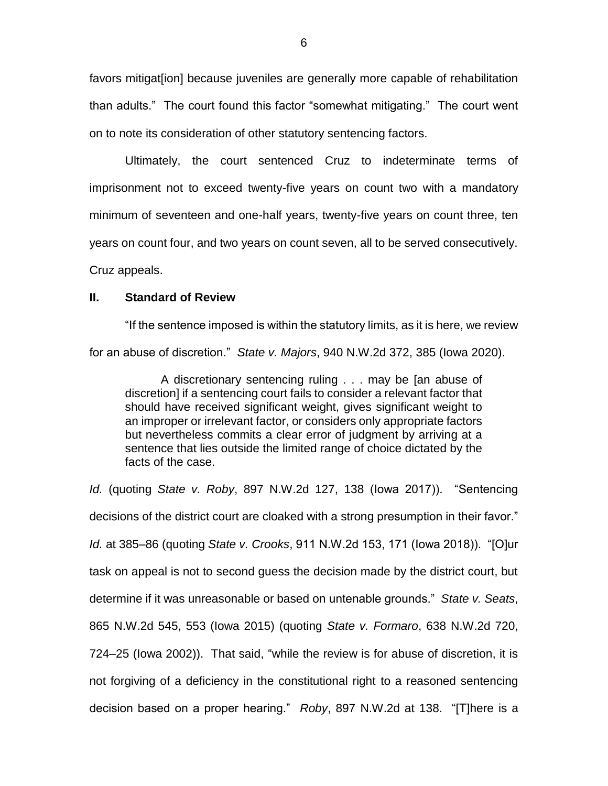favors mitigat[ion] because juveniles are generally more capable of rehabilitation than adults." The court found this factor "somewhat mitigating." The court went on to note its consideration of other statutory sentencing factors.

Ultimately, the court sentenced Cruz to indeterminate terms of imprisonment not to exceed twenty-five years on count two with a mandatory minimum of seventeen and one-half years, twenty-five years on count three, ten years on count four, and two years on count seven, all to be served consecutively.

Cruz appeals.

## **II. Standard of Review**

"If the sentence imposed is within the statutory limits, as it is here, we review for an abuse of discretion." *State v. Majors*, 940 N.W.2d 372, 385 (Iowa 2020).

A discretionary sentencing ruling . . . may be [an abuse of discretion] if a sentencing court fails to consider a relevant factor that should have received significant weight, gives significant weight to an improper or irrelevant factor, or considers only appropriate factors but nevertheless commits a clear error of judgment by arriving at a sentence that lies outside the limited range of choice dictated by the facts of the case.

*Id.* (quoting *State v. Roby*, 897 N.W.2d 127, 138 (Iowa 2017)). "Sentencing decisions of the district court are cloaked with a strong presumption in their favor." *Id.* at 385–86 (quoting *State v. Crooks*, 911 N.W.2d 153, 171 (Iowa 2018)). "[O]ur task on appeal is not to second guess the decision made by the district court, but determine if it was unreasonable or based on untenable grounds." *State v. Seats*, 865 N.W.2d 545, 553 (Iowa 2015) (quoting *State v. Formaro*, 638 N.W.2d 720, 724–25 (Iowa 2002)). That said, "while the review is for abuse of discretion, it is not forgiving of a deficiency in the constitutional right to a reasoned sentencing decision based on a proper hearing." *Roby*, 897 N.W.2d at 138. "[T]here is a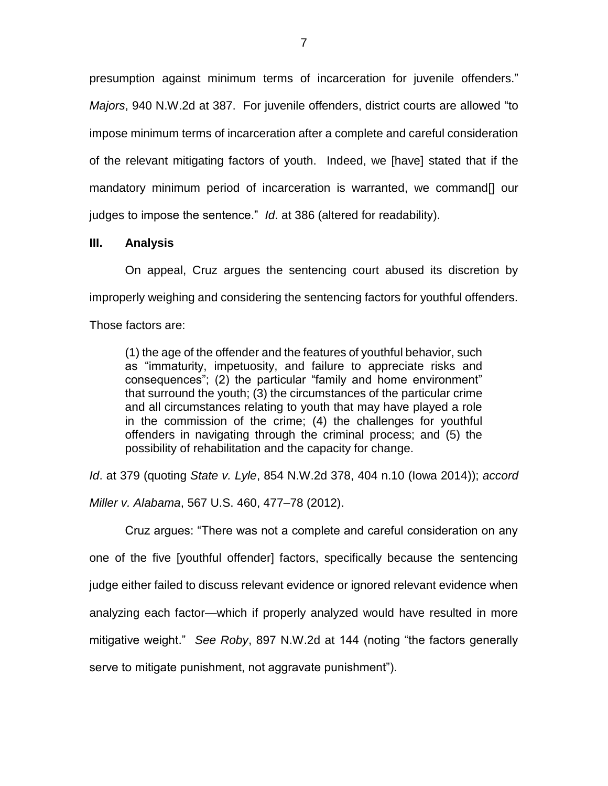presumption against minimum terms of incarceration for juvenile offenders." *Majors*, 940 N.W.2d at 387. For juvenile offenders, district courts are allowed "to impose minimum terms of incarceration after a complete and careful consideration of the relevant mitigating factors of youth. Indeed, we [have] stated that if the mandatory minimum period of incarceration is warranted, we command[] our judges to impose the sentence." *Id*. at 386 (altered for readability).

### **III. Analysis**

On appeal, Cruz argues the sentencing court abused its discretion by improperly weighing and considering the sentencing factors for youthful offenders.

Those factors are:

(1) the age of the offender and the features of youthful behavior, such as "immaturity, impetuosity, and failure to appreciate risks and consequences"; (2) the particular "family and home environment" that surround the youth; (3) the circumstances of the particular crime and all circumstances relating to youth that may have played a role in the commission of the crime; (4) the challenges for youthful offenders in navigating through the criminal process; and (5) the possibility of rehabilitation and the capacity for change.

*Id*. at 379 (quoting *State v. Lyle*, 854 N.W.2d 378, 404 n.10 (Iowa 2014)); *accord Miller v. Alabama*, 567 U.S. 460, 477–78 (2012).

Cruz argues: "There was not a complete and careful consideration on any one of the five [youthful offender] factors, specifically because the sentencing judge either failed to discuss relevant evidence or ignored relevant evidence when analyzing each factor—which if properly analyzed would have resulted in more mitigative weight." *See Roby*, 897 N.W.2d at 144 (noting "the factors generally serve to mitigate punishment, not aggravate punishment").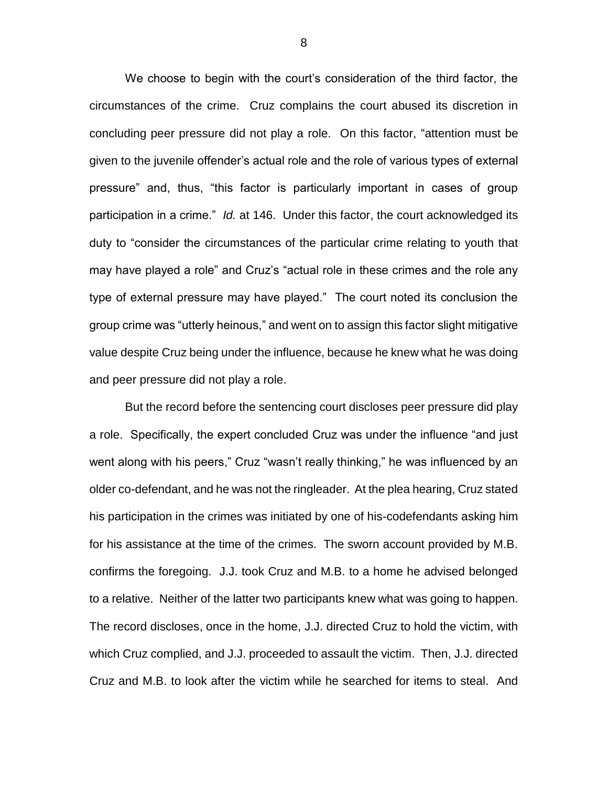We choose to begin with the court's consideration of the third factor, the circumstances of the crime. Cruz complains the court abused its discretion in concluding peer pressure did not play a role. On this factor, "attention must be given to the juvenile offender's actual role and the role of various types of external pressure" and, thus, "this factor is particularly important in cases of group participation in a crime." *Id.* at 146. Under this factor, the court acknowledged its duty to "consider the circumstances of the particular crime relating to youth that may have played a role" and Cruz's "actual role in these crimes and the role any type of external pressure may have played." The court noted its conclusion the group crime was "utterly heinous," and went on to assign this factor slight mitigative value despite Cruz being under the influence, because he knew what he was doing and peer pressure did not play a role.

But the record before the sentencing court discloses peer pressure did play a role. Specifically, the expert concluded Cruz was under the influence "and just went along with his peers," Cruz "wasn't really thinking," he was influenced by an older co-defendant, and he was not the ringleader. At the plea hearing, Cruz stated his participation in the crimes was initiated by one of his-codefendants asking him for his assistance at the time of the crimes. The sworn account provided by M.B. confirms the foregoing. J.J. took Cruz and M.B. to a home he advised belonged to a relative. Neither of the latter two participants knew what was going to happen. The record discloses, once in the home, J.J. directed Cruz to hold the victim, with which Cruz complied, and J.J. proceeded to assault the victim. Then, J.J. directed Cruz and M.B. to look after the victim while he searched for items to steal. And

8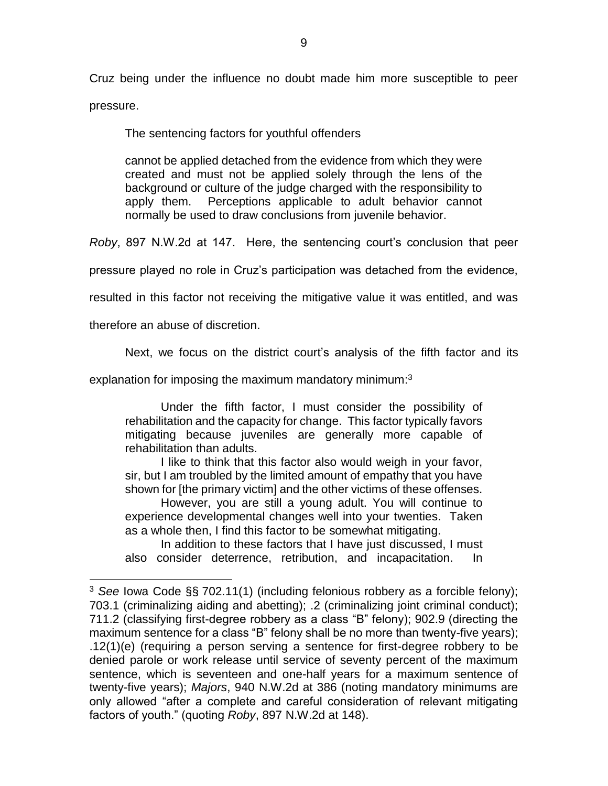Cruz being under the influence no doubt made him more susceptible to peer pressure.

The sentencing factors for youthful offenders

cannot be applied detached from the evidence from which they were created and must not be applied solely through the lens of the background or culture of the judge charged with the responsibility to apply them. Perceptions applicable to adult behavior cannot normally be used to draw conclusions from juvenile behavior.

*Roby*, 897 N.W.2d at 147. Here, the sentencing court's conclusion that peer

pressure played no role in Cruz's participation was detached from the evidence,

resulted in this factor not receiving the mitigative value it was entitled, and was

therefore an abuse of discretion.

 $\overline{a}$ 

Next, we focus on the district court's analysis of the fifth factor and its

explanation for imposing the maximum mandatory minimum:<sup>3</sup>

Under the fifth factor, I must consider the possibility of rehabilitation and the capacity for change. This factor typically favors mitigating because juveniles are generally more capable of rehabilitation than adults.

I like to think that this factor also would weigh in your favor, sir, but I am troubled by the limited amount of empathy that you have shown for [the primary victim] and the other victims of these offenses.

However, you are still a young adult. You will continue to experience developmental changes well into your twenties. Taken as a whole then, I find this factor to be somewhat mitigating.

In addition to these factors that I have just discussed, I must also consider deterrence, retribution, and incapacitation. In

<sup>3</sup> *See* Iowa Code §§ 702.11(1) (including felonious robbery as a forcible felony); 703.1 (criminalizing aiding and abetting); .2 (criminalizing joint criminal conduct); 711.2 (classifying first-degree robbery as a class "B" felony); 902.9 (directing the maximum sentence for a class "B" felony shall be no more than twenty-five years); .12(1)(e) (requiring a person serving a sentence for first-degree robbery to be denied parole or work release until service of seventy percent of the maximum sentence, which is seventeen and one-half years for a maximum sentence of twenty-five years); *Majors*, 940 N.W.2d at 386 (noting mandatory minimums are only allowed "after a complete and careful consideration of relevant mitigating factors of youth." (quoting *Roby*, 897 N.W.2d at 148).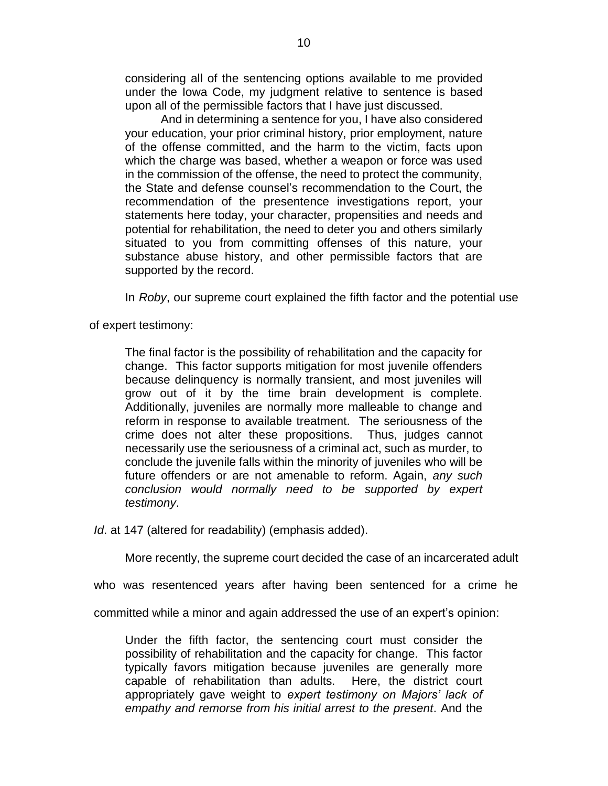considering all of the sentencing options available to me provided under the Iowa Code, my judgment relative to sentence is based upon all of the permissible factors that I have just discussed.

And in determining a sentence for you, I have also considered your education, your prior criminal history, prior employment, nature of the offense committed, and the harm to the victim, facts upon which the charge was based, whether a weapon or force was used in the commission of the offense, the need to protect the community, the State and defense counsel's recommendation to the Court, the recommendation of the presentence investigations report, your statements here today, your character, propensities and needs and potential for rehabilitation, the need to deter you and others similarly situated to you from committing offenses of this nature, your substance abuse history, and other permissible factors that are supported by the record.

In *Roby*, our supreme court explained the fifth factor and the potential use

of expert testimony:

The final factor is the possibility of rehabilitation and the capacity for change. This factor supports mitigation for most juvenile offenders because delinquency is normally transient, and most juveniles will grow out of it by the time brain development is complete. Additionally, juveniles are normally more malleable to change and reform in response to available treatment. The seriousness of the crime does not alter these propositions. Thus, judges cannot necessarily use the seriousness of a criminal act, such as murder, to conclude the juvenile falls within the minority of juveniles who will be future offenders or are not amenable to reform. Again, *any such conclusion would normally need to be supported by expert testimony*.

*Id*. at 147 (altered for readability) (emphasis added).

More recently, the supreme court decided the case of an incarcerated adult

who was resentenced years after having been sentenced for a crime he

committed while a minor and again addressed the use of an expert's opinion:

Under the fifth factor, the sentencing court must consider the possibility of rehabilitation and the capacity for change. This factor typically favors mitigation because juveniles are generally more capable of rehabilitation than adults. Here, the district court appropriately gave weight to *expert testimony on Majors' lack of empathy and remorse from his initial arrest to the present*. And the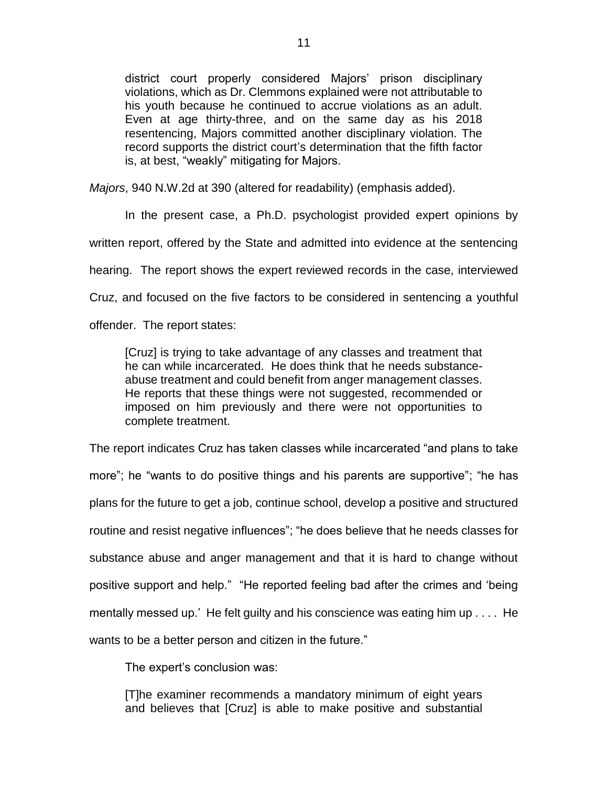district court properly considered Majors' prison disciplinary violations, which as Dr. Clemmons explained were not attributable to his youth because he continued to accrue violations as an adult. Even at age thirty-three, and on the same day as his 2018 resentencing, Majors committed another disciplinary violation. The record supports the district court's determination that the fifth factor is, at best, "weakly" mitigating for Majors.

*Majors*, 940 N.W.2d at 390 (altered for readability) (emphasis added).

In the present case, a Ph.D. psychologist provided expert opinions by written report, offered by the State and admitted into evidence at the sentencing hearing. The report shows the expert reviewed records in the case, interviewed Cruz, and focused on the five factors to be considered in sentencing a youthful offender. The report states:

[Cruz] is trying to take advantage of any classes and treatment that he can while incarcerated. He does think that he needs substanceabuse treatment and could benefit from anger management classes. He reports that these things were not suggested, recommended or imposed on him previously and there were not opportunities to complete treatment.

The report indicates Cruz has taken classes while incarcerated "and plans to take more"; he "wants to do positive things and his parents are supportive"; "he has plans for the future to get a job, continue school, develop a positive and structured routine and resist negative influences"; "he does believe that he needs classes for substance abuse and anger management and that it is hard to change without positive support and help." "He reported feeling bad after the crimes and 'being mentally messed up.' He felt guilty and his conscience was eating him up . . . . He wants to be a better person and citizen in the future."

The expert's conclusion was:

[T]he examiner recommends a mandatory minimum of eight years and believes that [Cruz] is able to make positive and substantial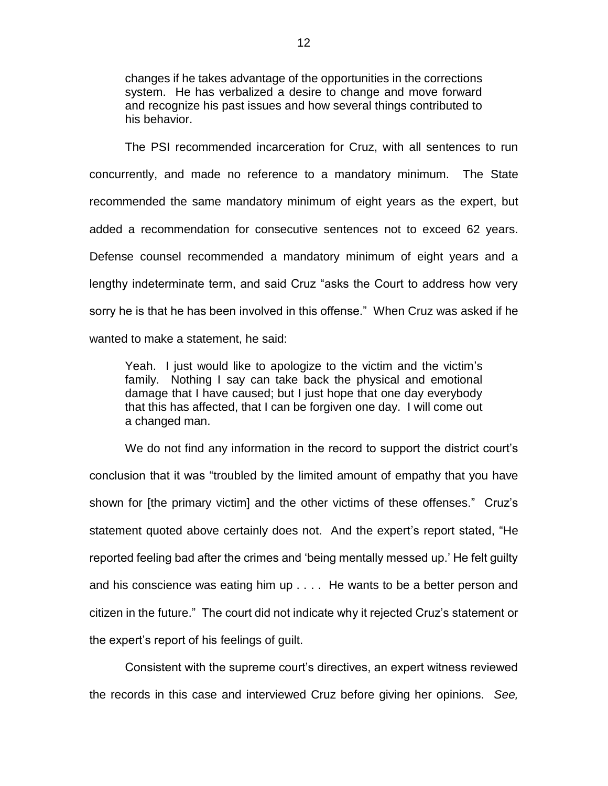changes if he takes advantage of the opportunities in the corrections system. He has verbalized a desire to change and move forward and recognize his past issues and how several things contributed to his behavior.

The PSI recommended incarceration for Cruz, with all sentences to run concurrently, and made no reference to a mandatory minimum. The State recommended the same mandatory minimum of eight years as the expert, but added a recommendation for consecutive sentences not to exceed 62 years. Defense counsel recommended a mandatory minimum of eight years and a lengthy indeterminate term, and said Cruz "asks the Court to address how very sorry he is that he has been involved in this offense." When Cruz was asked if he wanted to make a statement, he said:

Yeah. I just would like to apologize to the victim and the victim's family. Nothing I say can take back the physical and emotional damage that I have caused; but I just hope that one day everybody that this has affected, that I can be forgiven one day. I will come out a changed man.

We do not find any information in the record to support the district court's conclusion that it was "troubled by the limited amount of empathy that you have shown for [the primary victim] and the other victims of these offenses." Cruz's statement quoted above certainly does not. And the expert's report stated, "He reported feeling bad after the crimes and 'being mentally messed up.' He felt guilty and his conscience was eating him up . . . . He wants to be a better person and citizen in the future." The court did not indicate why it rejected Cruz's statement or the expert's report of his feelings of guilt.

Consistent with the supreme court's directives, an expert witness reviewed the records in this case and interviewed Cruz before giving her opinions. *See,*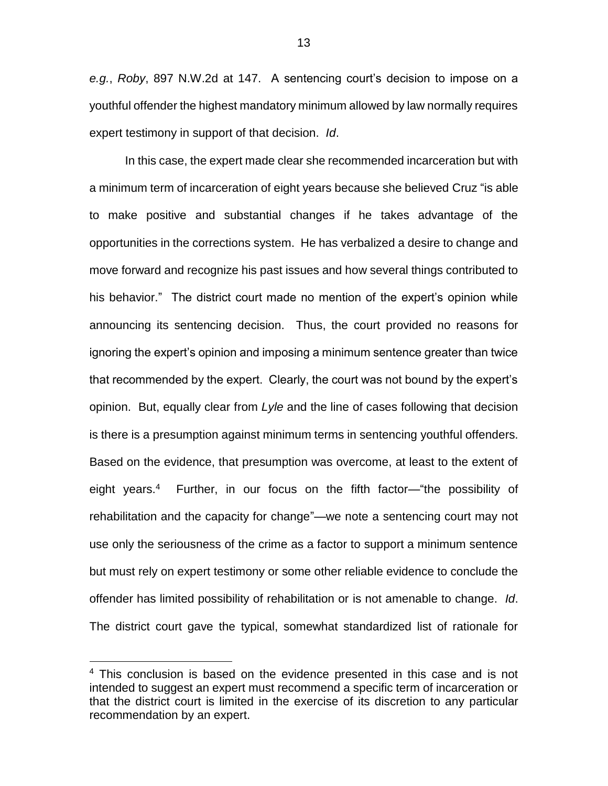*e.g.*, *Roby*, 897 N.W.2d at 147. A sentencing court's decision to impose on a youthful offender the highest mandatory minimum allowed by law normally requires expert testimony in support of that decision. *Id*.

In this case, the expert made clear she recommended incarceration but with a minimum term of incarceration of eight years because she believed Cruz "is able to make positive and substantial changes if he takes advantage of the opportunities in the corrections system. He has verbalized a desire to change and move forward and recognize his past issues and how several things contributed to his behavior." The district court made no mention of the expert's opinion while announcing its sentencing decision. Thus, the court provided no reasons for ignoring the expert's opinion and imposing a minimum sentence greater than twice that recommended by the expert. Clearly, the court was not bound by the expert's opinion. But, equally clear from *Lyle* and the line of cases following that decision is there is a presumption against minimum terms in sentencing youthful offenders. Based on the evidence, that presumption was overcome, at least to the extent of eight years.<sup>4</sup> Further, in our focus on the fifth factor—"the possibility of rehabilitation and the capacity for change"—we note a sentencing court may not use only the seriousness of the crime as a factor to support a minimum sentence but must rely on expert testimony or some other reliable evidence to conclude the offender has limited possibility of rehabilitation or is not amenable to change. *Id*. The district court gave the typical, somewhat standardized list of rationale for

 $\overline{a}$ 

<sup>&</sup>lt;sup>4</sup> This conclusion is based on the evidence presented in this case and is not intended to suggest an expert must recommend a specific term of incarceration or that the district court is limited in the exercise of its discretion to any particular recommendation by an expert.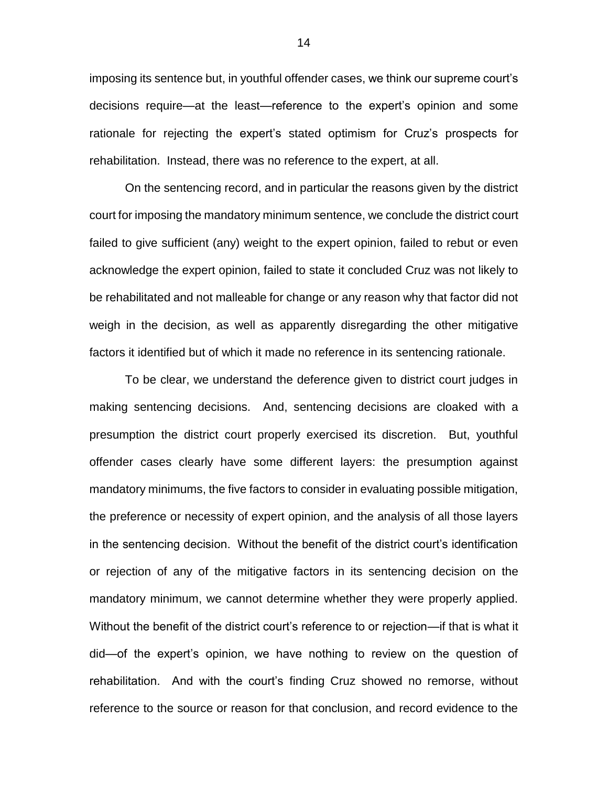imposing its sentence but, in youthful offender cases, we think our supreme court's decisions require—at the least—reference to the expert's opinion and some rationale for rejecting the expert's stated optimism for Cruz's prospects for rehabilitation. Instead, there was no reference to the expert, at all.

On the sentencing record, and in particular the reasons given by the district court for imposing the mandatory minimum sentence, we conclude the district court failed to give sufficient (any) weight to the expert opinion, failed to rebut or even acknowledge the expert opinion, failed to state it concluded Cruz was not likely to be rehabilitated and not malleable for change or any reason why that factor did not weigh in the decision, as well as apparently disregarding the other mitigative factors it identified but of which it made no reference in its sentencing rationale.

To be clear, we understand the deference given to district court judges in making sentencing decisions. And, sentencing decisions are cloaked with a presumption the district court properly exercised its discretion. But, youthful offender cases clearly have some different layers: the presumption against mandatory minimums, the five factors to consider in evaluating possible mitigation, the preference or necessity of expert opinion, and the analysis of all those layers in the sentencing decision. Without the benefit of the district court's identification or rejection of any of the mitigative factors in its sentencing decision on the mandatory minimum, we cannot determine whether they were properly applied. Without the benefit of the district court's reference to or rejection—if that is what it did—of the expert's opinion, we have nothing to review on the question of rehabilitation. And with the court's finding Cruz showed no remorse, without reference to the source or reason for that conclusion, and record evidence to the

14